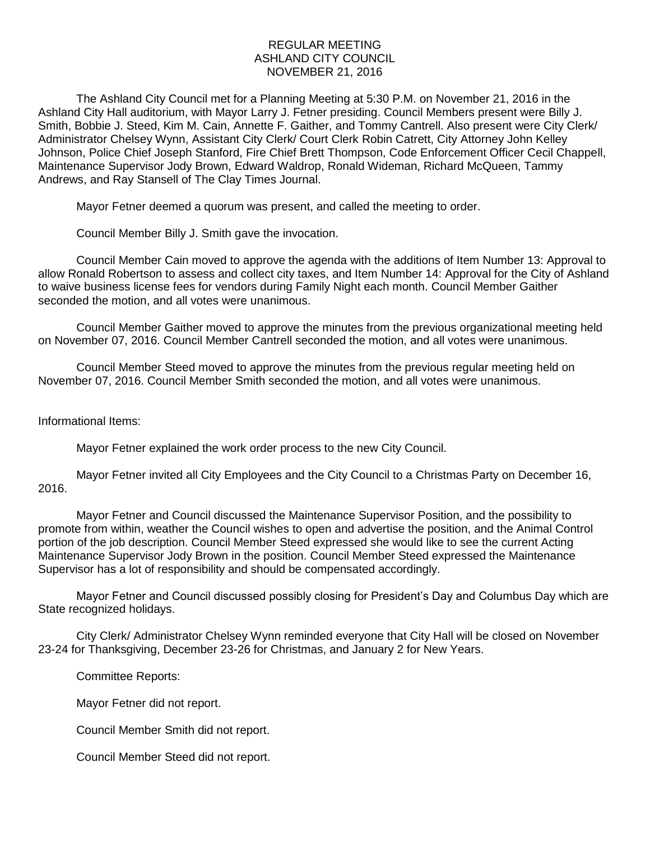## REGULAR MEETING ASHLAND CITY COUNCIL NOVEMBER 21, 2016

The Ashland City Council met for a Planning Meeting at 5:30 P.M. on November 21, 2016 in the Ashland City Hall auditorium, with Mayor Larry J. Fetner presiding. Council Members present were Billy J. Smith, Bobbie J. Steed, Kim M. Cain, Annette F. Gaither, and Tommy Cantrell. Also present were City Clerk/ Administrator Chelsey Wynn, Assistant City Clerk/ Court Clerk Robin Catrett, City Attorney John Kelley Johnson, Police Chief Joseph Stanford, Fire Chief Brett Thompson, Code Enforcement Officer Cecil Chappell, Maintenance Supervisor Jody Brown, Edward Waldrop, Ronald Wideman, Richard McQueen, Tammy Andrews, and Ray Stansell of The Clay Times Journal.

Mayor Fetner deemed a quorum was present, and called the meeting to order.

Council Member Billy J. Smith gave the invocation.

Council Member Cain moved to approve the agenda with the additions of Item Number 13: Approval to allow Ronald Robertson to assess and collect city taxes, and Item Number 14: Approval for the City of Ashland to waive business license fees for vendors during Family Night each month. Council Member Gaither seconded the motion, and all votes were unanimous.

Council Member Gaither moved to approve the minutes from the previous organizational meeting held on November 07, 2016. Council Member Cantrell seconded the motion, and all votes were unanimous.

Council Member Steed moved to approve the minutes from the previous regular meeting held on November 07, 2016. Council Member Smith seconded the motion, and all votes were unanimous.

## Informational Items:

Mayor Fetner explained the work order process to the new City Council.

Mayor Fetner invited all City Employees and the City Council to a Christmas Party on December 16, 2016.

Mayor Fetner and Council discussed the Maintenance Supervisor Position, and the possibility to promote from within, weather the Council wishes to open and advertise the position, and the Animal Control portion of the job description. Council Member Steed expressed she would like to see the current Acting Maintenance Supervisor Jody Brown in the position. Council Member Steed expressed the Maintenance Supervisor has a lot of responsibility and should be compensated accordingly.

Mayor Fetner and Council discussed possibly closing for President's Day and Columbus Day which are State recognized holidays.

City Clerk/ Administrator Chelsey Wynn reminded everyone that City Hall will be closed on November 23-24 for Thanksgiving, December 23-26 for Christmas, and January 2 for New Years.

Committee Reports:

Mayor Fetner did not report.

Council Member Smith did not report.

Council Member Steed did not report.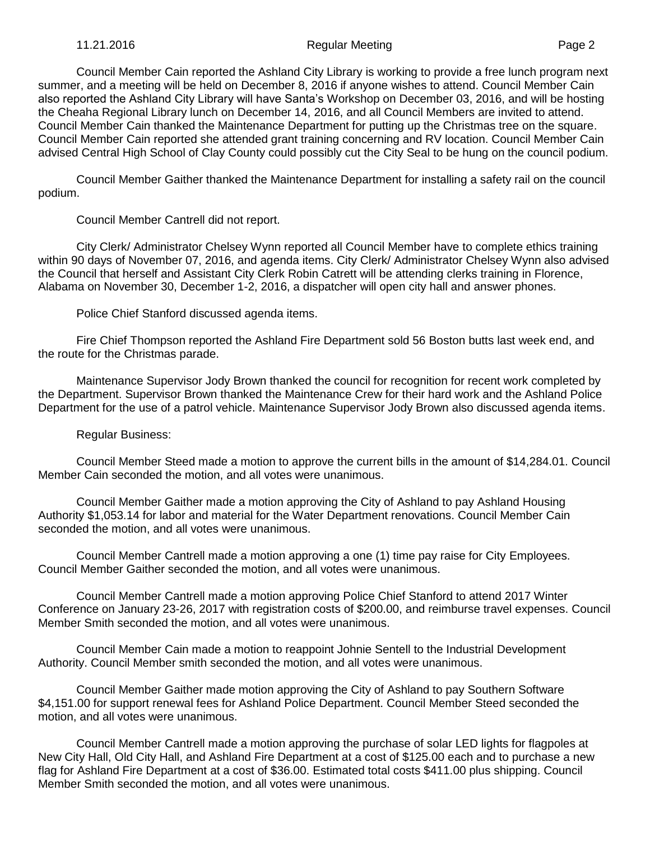Council Member Cain reported the Ashland City Library is working to provide a free lunch program next summer, and a meeting will be held on December 8, 2016 if anyone wishes to attend. Council Member Cain also reported the Ashland City Library will have Santa's Workshop on December 03, 2016, and will be hosting the Cheaha Regional Library lunch on December 14, 2016, and all Council Members are invited to attend. Council Member Cain thanked the Maintenance Department for putting up the Christmas tree on the square. Council Member Cain reported she attended grant training concerning and RV location. Council Member Cain advised Central High School of Clay County could possibly cut the City Seal to be hung on the council podium.

Council Member Gaither thanked the Maintenance Department for installing a safety rail on the council podium.

Council Member Cantrell did not report.

City Clerk/ Administrator Chelsey Wynn reported all Council Member have to complete ethics training within 90 days of November 07, 2016, and agenda items. City Clerk/ Administrator Chelsey Wynn also advised the Council that herself and Assistant City Clerk Robin Catrett will be attending clerks training in Florence, Alabama on November 30, December 1-2, 2016, a dispatcher will open city hall and answer phones.

Police Chief Stanford discussed agenda items.

Fire Chief Thompson reported the Ashland Fire Department sold 56 Boston butts last week end, and the route for the Christmas parade.

Maintenance Supervisor Jody Brown thanked the council for recognition for recent work completed by the Department. Supervisor Brown thanked the Maintenance Crew for their hard work and the Ashland Police Department for the use of a patrol vehicle. Maintenance Supervisor Jody Brown also discussed agenda items.

Regular Business:

Council Member Steed made a motion to approve the current bills in the amount of \$14,284.01. Council Member Cain seconded the motion, and all votes were unanimous.

Council Member Gaither made a motion approving the City of Ashland to pay Ashland Housing Authority \$1,053.14 for labor and material for the Water Department renovations. Council Member Cain seconded the motion, and all votes were unanimous.

Council Member Cantrell made a motion approving a one (1) time pay raise for City Employees. Council Member Gaither seconded the motion, and all votes were unanimous.

Council Member Cantrell made a motion approving Police Chief Stanford to attend 2017 Winter Conference on January 23-26, 2017 with registration costs of \$200.00, and reimburse travel expenses. Council Member Smith seconded the motion, and all votes were unanimous.

Council Member Cain made a motion to reappoint Johnie Sentell to the Industrial Development Authority. Council Member smith seconded the motion, and all votes were unanimous.

 Council Member Gaither made motion approving the City of Ashland to pay Southern Software \$4,151.00 for support renewal fees for Ashland Police Department. Council Member Steed seconded the motion, and all votes were unanimous.

Council Member Cantrell made a motion approving the purchase of solar LED lights for flagpoles at New City Hall, Old City Hall, and Ashland Fire Department at a cost of \$125.00 each and to purchase a new flag for Ashland Fire Department at a cost of \$36.00. Estimated total costs \$411.00 plus shipping. Council Member Smith seconded the motion, and all votes were unanimous.